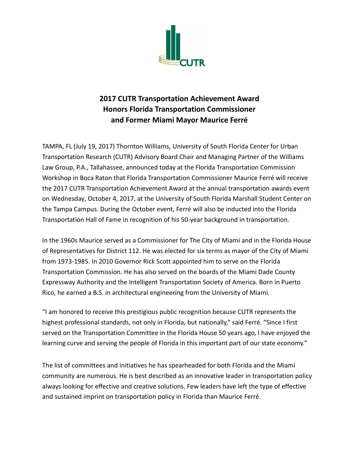

## **2017 CUTR Transportation Achievement Award Honors Florida Transportation Commissioner and Former Miami Mayor Maurice Ferré**

TAMPA, FL (July 19, 2017) Thornton Williams, University of South Florida Center for Urban Transportation Research (CUTR) Advisory Board Chair and Managing Partner of the Williams Law Group, P.A., Tallahassee, announced today at the Florida Transportation Commission Workshop in Boca Raton that Florida Transportation Commissioner Maurice Ferré will receive the 2017 CUTR Transportation Achievement Award at the annual transportation awards event on Wednesday, October 4, 2017, at the University of South Florida Marshall Student Center on the Tampa Campus. During the October event, Ferré will also be inducted into the Florida Transportation Hall of Fame in recognition of his 50-year background in transportation.

In the 1960s Maurice served as a Commissioner for The City of Miami and in the Florida House of Representatives for District 112. He was elected for six terms as mayor of the City of Miami from 1973-1985. In 2010 Governor Rick Scott appointed him to serve on the Florida Transportation Commission. He has also served on the boards of the Miami Dade County Expressway Authority and the Intelligent Transportation Society of America. Born in Puerto Rico, he earned a B.S. in architectural engineering from the University of Miami.

"I am honored to receive this prestigious public recognition because CUTR represents the highest professional standards, not only in Florida, but nationally," said Ferré. "Since I first served on the Transportation Committee in the Florida House 50 years ago, I have enjoyed the learning curve and serving the people of Florida in this important part of our state economy."

The list of committees and initiatives he has spearheaded for both Florida and the Miami community are numerous. He is best described as an innovative leader in transportation policy always looking for effective and creative solutions. Few leaders have left the type of effective and sustained imprint on transportation policy in Florida than Maurice Ferré.